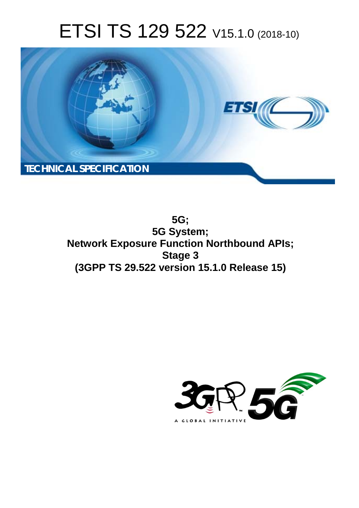# ETSI TS 129 522 V15.1.0 (2018-10)



**5G; 5G System; Network Exposure Function Northbound APIs; Stage 3 (3GPP TS 29.522 version 15.1.0 Release 15)** 

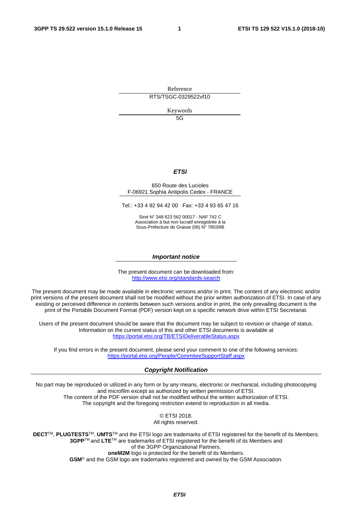Reference RTS/TSGC-0329522vf10

Keywords

 $5G$ 

#### *ETSI*

#### 650 Route des Lucioles F-06921 Sophia Antipolis Cedex - FRANCE

Tel.: +33 4 92 94 42 00 Fax: +33 4 93 65 47 16

Siret N° 348 623 562 00017 - NAF 742 C Association à but non lucratif enregistrée à la Sous-Préfecture de Grasse (06) N° 7803/88

#### *Important notice*

The present document can be downloaded from: <http://www.etsi.org/standards-search>

The present document may be made available in electronic versions and/or in print. The content of any electronic and/or print versions of the present document shall not be modified without the prior written authorization of ETSI. In case of any existing or perceived difference in contents between such versions and/or in print, the only prevailing document is the print of the Portable Document Format (PDF) version kept on a specific network drive within ETSI Secretariat.

Users of the present document should be aware that the document may be subject to revision or change of status. Information on the current status of this and other ETSI documents is available at <https://portal.etsi.org/TB/ETSIDeliverableStatus.aspx>

If you find errors in the present document, please send your comment to one of the following services: <https://portal.etsi.org/People/CommiteeSupportStaff.aspx>

#### *Copyright Notification*

No part may be reproduced or utilized in any form or by any means, electronic or mechanical, including photocopying and microfilm except as authorized by written permission of ETSI. The content of the PDF version shall not be modified without the written authorization of ETSI. The copyright and the foregoing restriction extend to reproduction in all media.

> © ETSI 2018. All rights reserved.

**DECT**TM, **PLUGTESTS**TM, **UMTS**TM and the ETSI logo are trademarks of ETSI registered for the benefit of its Members. **3GPP**TM and **LTE**TM are trademarks of ETSI registered for the benefit of its Members and of the 3GPP Organizational Partners. **oneM2M** logo is protected for the benefit of its Members.

**GSM**® and the GSM logo are trademarks registered and owned by the GSM Association.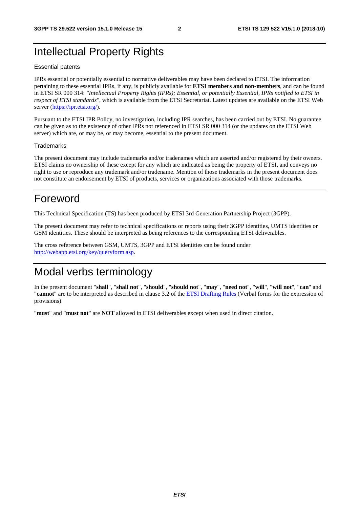# Intellectual Property Rights

#### Essential patents

IPRs essential or potentially essential to normative deliverables may have been declared to ETSI. The information pertaining to these essential IPRs, if any, is publicly available for **ETSI members and non-members**, and can be found in ETSI SR 000 314: *"Intellectual Property Rights (IPRs); Essential, or potentially Essential, IPRs notified to ETSI in respect of ETSI standards"*, which is available from the ETSI Secretariat. Latest updates are available on the ETSI Web server ([https://ipr.etsi.org/\)](https://ipr.etsi.org/).

Pursuant to the ETSI IPR Policy, no investigation, including IPR searches, has been carried out by ETSI. No guarantee can be given as to the existence of other IPRs not referenced in ETSI SR 000 314 (or the updates on the ETSI Web server) which are, or may be, or may become, essential to the present document.

#### **Trademarks**

The present document may include trademarks and/or tradenames which are asserted and/or registered by their owners. ETSI claims no ownership of these except for any which are indicated as being the property of ETSI, and conveys no right to use or reproduce any trademark and/or tradename. Mention of those trademarks in the present document does not constitute an endorsement by ETSI of products, services or organizations associated with those trademarks.

# Foreword

This Technical Specification (TS) has been produced by ETSI 3rd Generation Partnership Project (3GPP).

The present document may refer to technical specifications or reports using their 3GPP identities, UMTS identities or GSM identities. These should be interpreted as being references to the corresponding ETSI deliverables.

The cross reference between GSM, UMTS, 3GPP and ETSI identities can be found under [http://webapp.etsi.org/key/queryform.asp.](http://webapp.etsi.org/key/queryform.asp)

# Modal verbs terminology

In the present document "**shall**", "**shall not**", "**should**", "**should not**", "**may**", "**need not**", "**will**", "**will not**", "**can**" and "**cannot**" are to be interpreted as described in clause 3.2 of the [ETSI Drafting Rules](https://portal.etsi.org/Services/editHelp!/Howtostart/ETSIDraftingRules.aspx) (Verbal forms for the expression of provisions).

"**must**" and "**must not**" are **NOT** allowed in ETSI deliverables except when used in direct citation.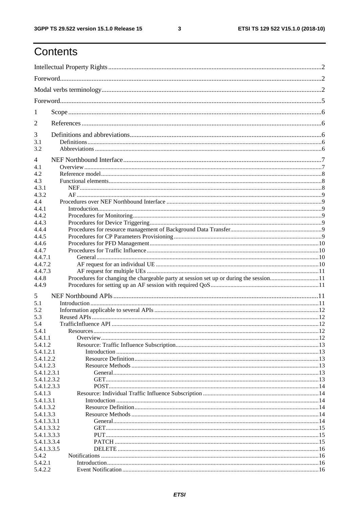ETSI TS 129 522 V15.1.0 (2018-10)

# Contents

| $\mathbf{I}$               |                                                                                        |  |
|----------------------------|----------------------------------------------------------------------------------------|--|
| 2                          |                                                                                        |  |
| 3                          |                                                                                        |  |
| 3.1<br>3.2                 |                                                                                        |  |
| 4                          |                                                                                        |  |
| 4.1                        |                                                                                        |  |
| 4.2                        |                                                                                        |  |
| 4.3<br>4.3.1               |                                                                                        |  |
| 4.3.2                      |                                                                                        |  |
| 4.4                        |                                                                                        |  |
| 4.4.1                      |                                                                                        |  |
| 4.4.2                      |                                                                                        |  |
| 4.4.3                      |                                                                                        |  |
| 4.4.4                      |                                                                                        |  |
| 4.4.5                      |                                                                                        |  |
| 4.4.6                      |                                                                                        |  |
| 4.4.7                      |                                                                                        |  |
| 4.4.7.1                    |                                                                                        |  |
| 4.4.7.2                    |                                                                                        |  |
| 4.4.7.3                    |                                                                                        |  |
| 4.4.8                      | Procedures for changing the chargeable party at session set up or during the session11 |  |
| 4.4.9                      |                                                                                        |  |
| 5                          |                                                                                        |  |
| 5.1                        |                                                                                        |  |
| 5.2                        |                                                                                        |  |
| 5.3                        |                                                                                        |  |
| 5.4                        |                                                                                        |  |
| 5.4.1                      |                                                                                        |  |
| 5.4.1.1                    |                                                                                        |  |
| 5.4.1.2                    |                                                                                        |  |
| 5.4.1.2.1                  |                                                                                        |  |
| 5.4.1.2.2                  |                                                                                        |  |
| 5.4.1.2.3                  |                                                                                        |  |
| 5.4.1.2.3.1                |                                                                                        |  |
| 5.4.1.2.3.2<br>5.4.1.2.3.3 |                                                                                        |  |
| 5.4.1.3                    |                                                                                        |  |
| 5.4.1.3.1                  |                                                                                        |  |
| 5.4.1.3.2                  |                                                                                        |  |
| 5.4.1.3.3                  |                                                                                        |  |
| 5.4.1.3.3.1                |                                                                                        |  |
| 5.4.1.3.3.2                |                                                                                        |  |
| 5.4.1.3.3.3                |                                                                                        |  |
| 5.4.1.3.3.4                |                                                                                        |  |
| 5.4.1.3.3.5                |                                                                                        |  |
| 5.4.2                      |                                                                                        |  |
| 5.4.2.1                    |                                                                                        |  |
| 5.4.2.2                    |                                                                                        |  |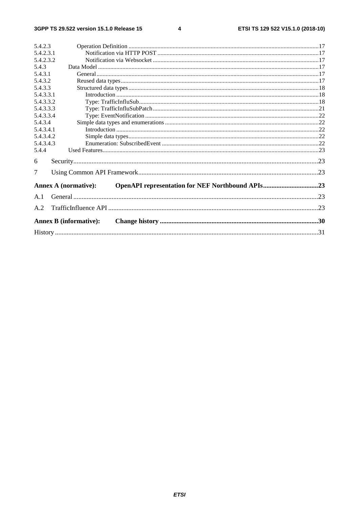#### $\overline{\mathbf{4}}$

| 5.4.2.3   |                               |  |
|-----------|-------------------------------|--|
| 5.4.2.3.1 |                               |  |
| 5.4.2.3.2 |                               |  |
| 5.4.3     |                               |  |
| 5.4.3.1   |                               |  |
| 5.4.3.2   |                               |  |
| 5.4.3.3   |                               |  |
| 5.4.3.3.1 |                               |  |
| 5.4.3.3.2 |                               |  |
| 5.4.3.3.3 |                               |  |
| 5.4.3.3.4 |                               |  |
| 5.4.3.4   |                               |  |
| 5.4.3.4.1 |                               |  |
| 5.4.3.4.2 |                               |  |
| 5.4.3.4.3 |                               |  |
| 5.4.4     |                               |  |
| 6         |                               |  |
| 7         |                               |  |
|           | <b>Annex A (normative):</b>   |  |
| A.1       |                               |  |
| A.2       |                               |  |
|           | <b>Annex B (informative):</b> |  |
|           |                               |  |
|           |                               |  |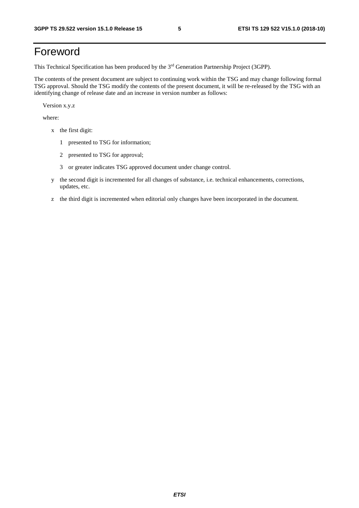# Foreword

This Technical Specification has been produced by the 3rd Generation Partnership Project (3GPP).

The contents of the present document are subject to continuing work within the TSG and may change following formal TSG approval. Should the TSG modify the contents of the present document, it will be re-released by the TSG with an identifying change of release date and an increase in version number as follows:

Version x.y.z

where:

- x the first digit:
	- 1 presented to TSG for information;
	- 2 presented to TSG for approval;
	- 3 or greater indicates TSG approved document under change control.
- y the second digit is incremented for all changes of substance, i.e. technical enhancements, corrections, updates, etc.
- z the third digit is incremented when editorial only changes have been incorporated in the document.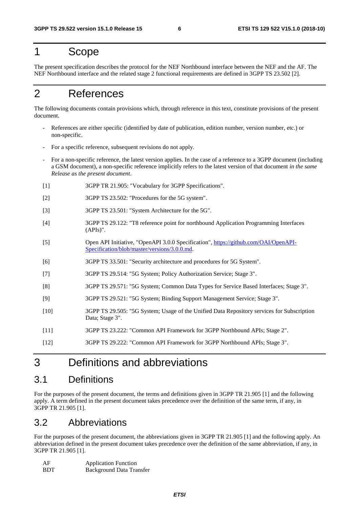# 1 Scope

The present specification describes the protocol for the NEF Northbound interface between the NEF and the AF. The NEF Northbound interface and the related stage 2 functional requirements are defined in 3GPP TS 23.502 [2].

# 2 References

The following documents contain provisions which, through reference in this text, constitute provisions of the present document.

- References are either specific (identified by date of publication, edition number, version number, etc.) or non-specific.
- For a specific reference, subsequent revisions do not apply.
- For a non-specific reference, the latest version applies. In the case of a reference to a 3GPP document (including a GSM document), a non-specific reference implicitly refers to the latest version of that document *in the same Release as the present document*.
- [1] 3GPP TR 21.905: "Vocabulary for 3GPP Specifications".
- [2] 3GPP TS 23.502: "Procedures for the 5G system".
- [3] 3GPP TS 23.501: "System Architecture for the 5G".
- [4] 3GPP TS 29.122: "T8 reference point for northbound Application Programming Interfaces (APIs)".
- [5] Open API Initiative, "OpenAPI 3.0.0 Specification", [https://github.com/OAI/OpenAPI-](https://github.com/OAI/OpenAPI-Specification/blob/master/versions/3.0.0.md)[Specification/blob/master/versions/3.0.0.md](https://github.com/OAI/OpenAPI-Specification/blob/master/versions/3.0.0.md).
- [6] 3GPP TS 33.501: "Security architecture and procedures for 5G System".
- [7] 3GPP TS 29.514: "5G System; Policy Authorization Service; Stage 3".
- [8] 3GPP TS 29.571: "5G System; Common Data Types for Service Based Interfaces; Stage 3".
- [9] 3GPP TS 29.521: "5G System; Binding Support Management Service; Stage 3".
- [10] 3GPP TS 29.505: "5G System; Usage of the Unified Data Repository services for Subscription Data; Stage 3".
- [11] 3GPP TS 23.222: "Common API Framework for 3GPP Northbound APIs; Stage 2".
- [12] 3GPP TS 29.222: "Common API Framework for 3GPP Northbound APIs; Stage 3".

# 3 Definitions and abbreviations

### 3.1 Definitions

For the purposes of the present document, the terms and definitions given in 3GPP TR 21.905 [1] and the following apply. A term defined in the present document takes precedence over the definition of the same term, if any, in 3GPP TR 21.905 [1].

# 3.2 Abbreviations

For the purposes of the present document, the abbreviations given in 3GPP TR 21.905 [1] and the following apply. An abbreviation defined in the present document takes precedence over the definition of the same abbreviation, if any, in 3GPP TR 21.905 [1].

| AF         | <b>Application Function</b>     |
|------------|---------------------------------|
| <b>BDT</b> | <b>Background Data Transfer</b> |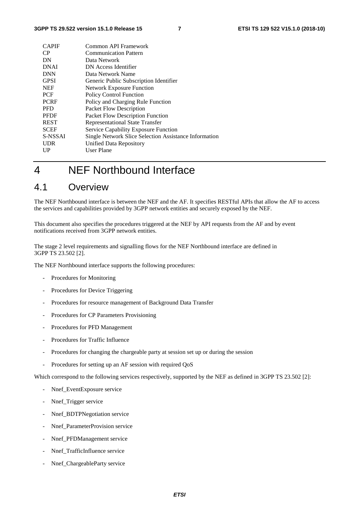| <b>CAPIF</b> | Common API Framework                                  |
|--------------|-------------------------------------------------------|
| CP           | <b>Communication Pattern</b>                          |
| DN           | Data Network                                          |
| <b>DNAI</b>  | DN Access Identifier                                  |
| <b>DNN</b>   | Data Network Name                                     |
| <b>GPSI</b>  | Generic Public Subscription Identifier                |
| <b>NEF</b>   | <b>Network Exposure Function</b>                      |
| <b>PCF</b>   | <b>Policy Control Function</b>                        |
| <b>PCRF</b>  | Policy and Charging Rule Function                     |
| <b>PFD</b>   | Packet Flow Description                               |
| <b>PFDF</b>  | Packet Flow Description Function                      |
| <b>REST</b>  | Representational State Transfer                       |
| <b>SCEF</b>  | <b>Service Capability Exposure Function</b>           |
| S-NSSAI      | Single Network Slice Selection Assistance Information |
| <b>UDR</b>   | Unified Data Repository                               |
| UP           | User Plane                                            |
|              |                                                       |

# 4 NEF Northbound Interface

### 4.1 Overview

The NEF Northbound interface is between the NEF and the AF. It specifies RESTful APIs that allow the AF to access the services and capabilities provided by 3GPP network entities and securely exposed by the NEF.

This document also specifies the procedures triggered at the NEF by API requests from the AF and by event notifications received from 3GPP network entities.

The stage 2 level requirements and signalling flows for the NEF Northbound interface are defined in 3GPP TS 23.502 [2].

The NEF Northbound interface supports the following procedures:

- Procedures for Monitoring
- Procedures for Device Triggering
- Procedures for resource management of Background Data Transfer
- Procedures for CP Parameters Provisioning
- Procedures for PFD Management
- Procedures for Traffic Influence
- Procedures for changing the chargeable party at session set up or during the session
- Procedures for setting up an AF session with required QoS

Which correspond to the following services respectively, supported by the NEF as defined in 3GPP TS 23.502 [2]:

- Nnef\_EventExposure service
- Nnef\_Trigger service
- Nnef\_BDTPNegotiation service
- Nnef ParameterProvision service
- Nnef\_PFDManagement service
- Nnef\_TrafficInfluence service
- Nnef\_ChargeableParty service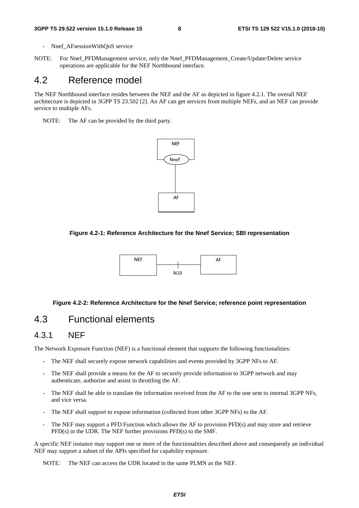- Nnef AFsessionWithQoS service

NOTE: For Nnef\_PFDManagement service, only the Nnef\_PFDManagement\_Create/Update/Delete service operations are applicable for the NEF Northbound interface.

### 4.2 Reference model

The NEF Northbound interface resides between the NEF and the AF as depicted in figure 4.2.1. The overall NEF architecture is depicted in 3GPP TS 23.502 [2]. An AF can get services from multiple NEFs, and an NEF can provide service to multiple AFs.

NOTE: The AF can be provided by the third party.



#### **Figure 4.2-1: Reference Architecture for the Nnef Service; SBI representation**



#### **Figure 4.2-2: Reference Architecture for the Nnef Service; reference point representation**

# 4.3 Functional elements

### 4.3.1 NEF

The Network Exposure Function (NEF) is a functional element that supports the following functionalities:

- The NEF shall securely expose network capabilities and events provided by 3GPP NFs to AF.
- The NEF shall provide a means for the AF to securely provide information to 3GPP network and may authenticate, authorize and assist in throttling the AF.
- The NEF shall be able to translate the information received from the AF to the one sent to internal 3GPP NFs, and vice versa.
- The NEF shall support to expose information (collected from other 3GPP NFs) to the AF.
- The NEF may support a PFD Function which allows the AF to provision PFD(s) and may store and retrieve PFD(s) in the UDR. The NEF further provisions PFD(s) to the SMF.

A specific NEF instance may support one or more of the functionalities described above and consequently an individual NEF may support a subset of the APIs specified for capability exposure.

NOTE: The NEF can access the UDR located in the same PLMN as the NEF.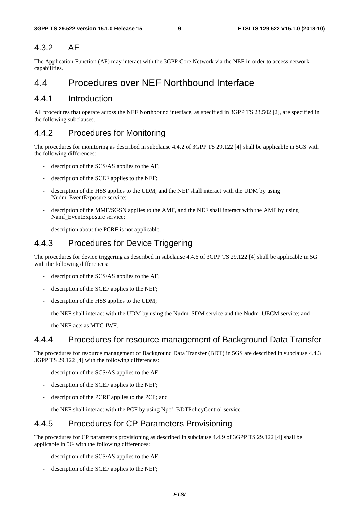### 4.3.2 AF

The Application Function (AF) may interact with the 3GPP Core Network via the NEF in order to access network capabilities.

# 4.4 Procedures over NEF Northbound Interface

### 4.4.1 Introduction

All procedures that operate across the NEF Northbound interface, as specified in 3GPP TS 23.502 [2], are specified in the following subclauses.

# 4.4.2 Procedures for Monitoring

The procedures for monitoring as described in subclause 4.4.2 of 3GPP TS 29.122 [4] shall be applicable in 5GS with the following differences:

- description of the SCS/AS applies to the AF;
- description of the SCEF applies to the NEF;
- description of the HSS applies to the UDM, and the NEF shall interact with the UDM by using Nudm\_EventExposure service;
- description of the MME/SGSN applies to the AMF, and the NEF shall interact with the AMF by using Namf\_EventExposure service;
- description about the PCRF is not applicable.

### 4.4.3 Procedures for Device Triggering

The procedures for device triggering as described in subclause 4.4.6 of 3GPP TS 29.122 [4] shall be applicable in 5G with the following differences:

- description of the SCS/AS applies to the AF;
- description of the SCEF applies to the NEF;
- description of the HSS applies to the UDM;
- the NEF shall interact with the UDM by using the Nudm\_SDM service and the Nudm\_UECM service; and
- the NEF acts as MTC-IWF.

### 4.4.4 Procedures for resource management of Background Data Transfer

The procedures for resource management of Background Data Transfer (BDT) in 5GS are described in subclause 4.4.3 3GPP TS 29.122 [4] with the following differences:

- description of the SCS/AS applies to the AF;
- description of the SCEF applies to the NEF;
- description of the PCRF applies to the PCF; and
- the NEF shall interact with the PCF by using Npcf\_BDTPolicyControl service.

### 4.4.5 Procedures for CP Parameters Provisioning

The procedures for CP parameters provisioning as described in subclause 4.4.9 of 3GPP TS 29.122 [4] shall be applicable in 5G with the following differences:

- description of the SCS/AS applies to the AF;
- description of the SCEF applies to the NEF;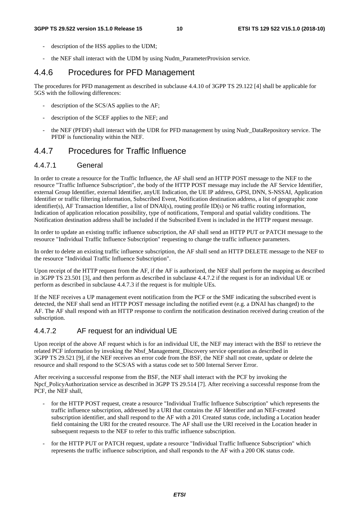- description of the HSS applies to the UDM;
- the NEF shall interact with the UDM by using Nudm\_ParameterProvision service.

### 4.4.6 Procedures for PFD Management

The procedures for PFD management as described in subclause 4.4.10 of 3GPP TS 29.122 [4] shall be applicable for 5GS with the following differences:

- description of the SCS/AS applies to the AF;
- description of the SCEF applies to the NEF; and
- the NEF (PFDF) shall interact with the UDR for PFD management by using Nudr\_DataRepository service. The PFDF is functionality within the NEF.

### 4.4.7 Procedures for Traffic Influence

#### 4.4.7.1 General

In order to create a resource for the Traffic Influence, the AF shall send an HTTP POST message to the NEF to the resource "Traffic Influence Subscription", the body of the HTTP POST message may include the AF Service Identifier, external Group Identifier, external Identifier, anyUE Indication, the UE IP address, GPSI, DNN, S-NSSAI, Application Identifier or traffic filtering information, Subscribed Event, Notification destination address, a list of geographic zone identifier(s), AF Transaction Identifier, a list of DNAI(s), routing profile ID(s) or N6 traffic routing information, Indication of application relocation possibility, type of notifications, Temporal and spatial validity conditions. The Notification destination address shall be included if the Subscribed Event is included in the HTTP request message.

In order to update an existing traffic influence subscription, the AF shall send an HTTP PUT or PATCH message to the resource "Individual Traffic Influence Subscription" requesting to change the traffic influence parameters.

In order to delete an existing traffic influence subscription, the AF shall send an HTTP DELETE message to the NEF to the resource "Individual Traffic Influence Subscription".

Upon receipt of the HTTP request from the AF, if the AF is authorized, the NEF shall perform the mapping as described in 3GPP TS 23.501 [3], and then perform as described in subclause 4.4.7.2 if the request is for an individual UE or perform as described in subclause 4.4.7.3 if the request is for multiple UEs.

If the NEF receives a UP management event notification from the PCF or the SMF indicating the subscribed event is detected, the NEF shall send an HTTP POST message including the notified event (e.g. a DNAI has changed) to the AF. The AF shall respond with an HTTP response to confirm the notification destination received during creation of the subscription.

#### 4.4.7.2 AF request for an individual UE

Upon receipt of the above AF request which is for an individual UE, the NEF may interact with the BSF to retrieve the related PCF information by invoking the Nbsf\_Management\_Discovery service operation as described in 3GPP TS 29.521 [9], if the NEF receives an error code from the BSF, the NEF shall not create, update or delete the resource and shall respond to the SCS/AS with a status code set to 500 Internal Server Error.

After receiving a successful response from the BSF, the NEF shall interact with the PCF by invoking the Npcf PolicyAuthorization service as described in 3GPP TS 29.514 [7]. After receiving a successful response from the PCF, the NEF shall,

- for the HTTP POST request, create a resource "Individual Traffic Influence Subscription" which represents the traffic influence subscription, addressed by a URI that contains the AF Identifier and an NEF-created subscription identifier, and shall respond to the AF with a 201 Created status code, including a Location header field containing the URI for the created resource. The AF shall use the URI received in the Location header in subsequent requests to the NEF to refer to this traffic influence subscription.
- for the HTTP PUT or PATCH request, update a resource "Individual Traffic Influence Subscription" which represents the traffic influence subscription, and shall responds to the AF with a 200 OK status code.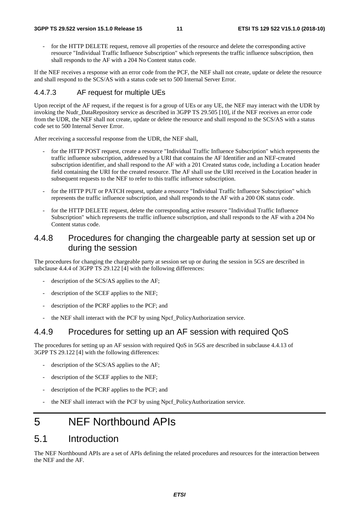for the HTTP DELETE request, remove all properties of the resource and delete the corresponding active resource "Individual Traffic Influence Subscription" which represents the traffic influence subscription, then shall responds to the AF with a 204 No Content status code.

If the NEF receives a response with an error code from the PCF, the NEF shall not create, update or delete the resource and shall respond to the SCS/AS with a status code set to 500 Internal Server Error.

#### 4.4.7.3 AF request for multiple UEs

Upon receipt of the AF request, if the request is for a group of UEs or any UE, the NEF may interact with the UDR by invoking the Nudr\_DataRepository service as described in 3GPP TS 29.505 [10], if the NEF receives an error code from the UDR, the NEF shall not create, update or delete the resource and shall respond to the SCS/AS with a status code set to 500 Internal Server Error.

After receiving a successful response from the UDR, the NEF shall,

- for the HTTP POST request, create a resource "Individual Traffic Influence Subscription" which represents the traffic influence subscription, addressed by a URI that contains the AF Identifier and an NEF-created subscription identifier, and shall respond to the AF with a 201 Created status code, including a Location header field containing the URI for the created resource. The AF shall use the URI received in the Location header in subsequent requests to the NEF to refer to this traffic influence subscription.
- for the HTTP PUT or PATCH request, update a resource "Individual Traffic Influence Subscription" which represents the traffic influence subscription, and shall responds to the AF with a 200 OK status code.
- for the HTTP DELETE request, delete the corresponding active resource "Individual Traffic Influence Subscription" which represents the traffic influence subscription, and shall responds to the AF with a 204 No Content status code.

### 4.4.8 Procedures for changing the chargeable party at session set up or during the session

The procedures for changing the chargeable party at session set up or during the session in 5GS are described in subclause 4.4.4 of 3GPP TS 29.122 [4] with the following differences:

- description of the SCS/AS applies to the AF;
- description of the SCEF applies to the NEF;
- description of the PCRF applies to the PCF; and
- the NEF shall interact with the PCF by using Npcf\_PolicyAuthorization service.

# 4.4.9 Procedures for setting up an AF session with required QoS

The procedures for setting up an AF session with required QoS in 5GS are described in subclause 4.4.13 of 3GPP TS 29.122 [4] with the following differences:

- description of the SCS/AS applies to the AF;
- description of the SCEF applies to the NEF;
- description of the PCRF applies to the PCF; and
- the NEF shall interact with the PCF by using Npcf\_PolicyAuthorization service.

# 5 NEF Northbound APIs

### 5.1 Introduction

The NEF Northbound APIs are a set of APIs defining the related procedures and resources for the interaction between the NEF and the AF.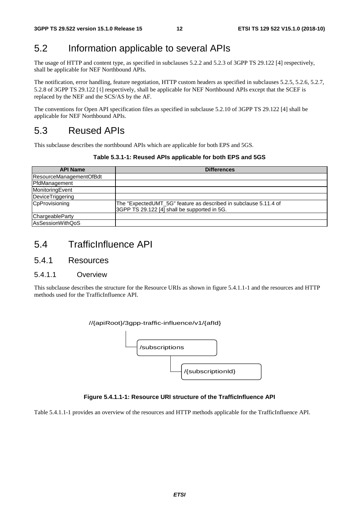# 5.2 Information applicable to several APIs

The usage of HTTP and content type, as specified in subclauses 5.2.2 and 5.2.3 of 3GPP TS 29.122 [4] respectively, shall be applicable for NEF Northbound APIs.

The notification, error handling, feature negotiation, HTTP custom headers as specified in subclauses 5.2.5, 5.2.6, 5.2.7, 5.2.8 of 3GPP TS 29.122 [4] respectively, shall be applicable for NEF Northbound APIs except that the SCEF is replaced by the NEF and the SCS/AS by the AF.

The conventions for Open API specification files as specified in subclause 5.2.10 of 3GPP TS 29.122 [4] shall be applicable for NEF Northbound APIs.

# 5.3 Reused APIs

This subclause describes the northbound APIs which are applicable for both EPS and 5GS.

#### **Table 5.3.1-1: Reused APIs applicable for both EPS and 5GS**

| <b>API Name</b>         | <b>Differences</b>                                                                                               |
|-------------------------|------------------------------------------------------------------------------------------------------------------|
| ResourceManagementOfBdt |                                                                                                                  |
| PfdManagement           |                                                                                                                  |
| MonitoringEvent         |                                                                                                                  |
| DeviceTriggering        |                                                                                                                  |
| CpProvisioning          | The "ExpectedUMT_5G" feature as described in subclause 5.11.4 of<br>3GPP TS 29.122 [4] shall be supported in 5G. |
| ChargeableParty         |                                                                                                                  |
| AsSessionWithQoS        |                                                                                                                  |

# 5.4 TrafficInfluence API

#### 5.4.1 Resources

#### 5.4.1.1 Overview

This subclause describes the structure for the Resource URIs as shown in figure 5.4.1.1-1 and the resources and HTTP methods used for the TrafficInfluence API.



#### **Figure 5.4.1.1-1: Resource URI structure of the TrafficInfluence API**

Table 5.4.1.1-1 provides an overview of the resources and HTTP methods applicable for the TrafficInfluence API.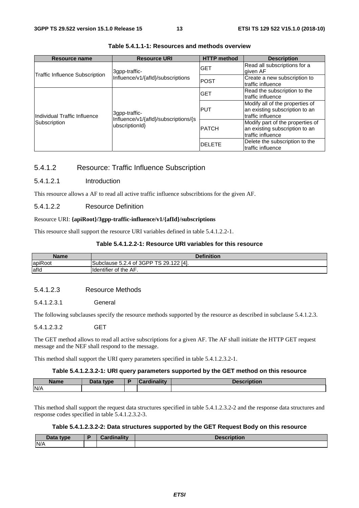| <b>Resource name</b>                  | <b>Resource URI</b>                                    | <b>HTTP</b> method | <b>Description</b>                                                                      |
|---------------------------------------|--------------------------------------------------------|--------------------|-----------------------------------------------------------------------------------------|
| <b>Traffic Influence Subscription</b> | 3gpp-traffic-                                          | IGET               | Read all subscriptions for a<br>given AF                                                |
|                                       | Influence/v1/{afld}/subscriptions                      | <b>POST</b>        | Create a new subscription to<br>traffic influence                                       |
|                                       |                                                        | <b>IGET</b>        | Read the subscription to the<br>traffic influence                                       |
| Individual Traffic Influence          | 3qpp-traffic-                                          | <b>PUT</b>         | Modify all of the properties of<br>an existing subscription to an<br>traffic influence  |
| Subscription                          | Influence/v1/{afld}/subscriptions/{s<br>ubscriptionId} | <b>PATCH</b>       | Modify part of the properties of<br>an existing subscription to an<br>traffic influence |
|                                       |                                                        | <b>DELETE</b>      | Delete the subscription to the<br>traffic influence                                     |

#### **Table 5.4.1.1-1: Resources and methods overview**

#### 5.4.1.2 Resource: Traffic Influence Subscription

#### 5.4.1.2.1 Introduction

This resource allows a AF to read all active traffic influence subscribtions for the given AF.

#### 5.4.1.2.2 Resource Definition

#### Resource URI: **{apiRoot}/3gpp-traffic-influence/v1/{afId}/subscriptions**

This resource shall support the resource URI variables defined in table 5.4.1.2.2-1.

#### **Table 5.4.1.2.2-1: Resource URI variables for this resource**

| Name    | <b>Definition</b>                           |  |  |  |  |  |
|---------|---------------------------------------------|--|--|--|--|--|
| apiRoot | Subclause 5.2.4 of 3GPP TS 29.1<br>122 [4]. |  |  |  |  |  |
| afld    | <b>I</b> Identifier of the AF.              |  |  |  |  |  |

#### 5.4.1.2.3 Resource Methods

5.4.1.2.3.1 General

The following subclauses specify the resource methods supported by the resource as described in subclause 5.4.1.2.3.

#### 5.4.1.2.3.2 GET

The GET method allows to read all active subscriptions for a given AF. The AF shall initiate the HTTP GET request message and the NEF shall respond to the message.

This method shall support the URI query parameters specified in table 5.4.1.2.3.2-1.

#### **Table 5.4.1.2.3.2-1: URI query parameters supported by the GET method on this resource**

| <b>Name</b> | Data type | ^ardinaliŧv<br>ananty | Description |
|-------------|-----------|-----------------------|-------------|
| N/A         |           |                       |             |

This method shall support the request data structures specified in table 5.4.1.2.3.2-2 and the response data structures and response codes specified in table 5.4.1.2.3.2-3.

#### **Table 5.4.1.2.3.2-2: Data structures supported by the GET Request Body on this resource**

| Data type | Cardinality | <b>Description</b> |
|-----------|-------------|--------------------|
| N/A       |             |                    |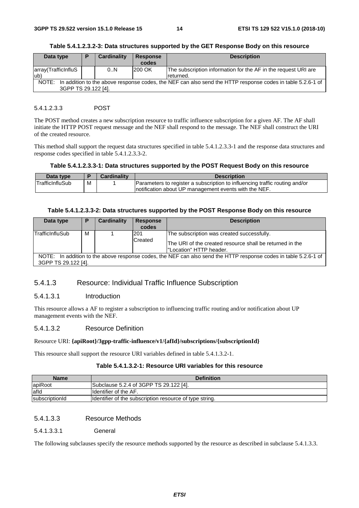| Data type                                                                                                                                  | P | Cardinality | <b>Response</b> | <b>Description</b>                                                          |
|--------------------------------------------------------------------------------------------------------------------------------------------|---|-------------|-----------------|-----------------------------------------------------------------------------|
|                                                                                                                                            |   |             | codes           |                                                                             |
| array(TrafficInfluS<br>lub)                                                                                                                |   | 0N          | 200 OK          | The subscription information for the AF in the request URI are<br>returned. |
| In addition to the above response codes, the NEF can also send the HTTP response codes in table 5.2.6-1 of<br>NOTE:<br>3GPP TS 29.122 [4]. |   |             |                 |                                                                             |

#### **Table 5.4.1.2.3.2-3: Data structures supported by the GET Response Body on this resource**

#### 5.4.1.2.3.3 POST

The POST method creates a new subscription resource to traffic influence subscription for a given AF. The AF shall initiate the HTTP POST request message and the NEF shall respond to the message. The NEF shall construct the URI of the created resource.

This method shall support the request data structures specified in table 5.4.1.2.3.3-1 and the response data structures and response codes specified in table 5.4.1.2.3.3-2.

#### **Table 5.4.1.2.3.3-1: Data structures supported by the POST Request Body on this resource**

| Data type       |   | <b>Cardinality</b> | <b>Description</b>                                                          |
|-----------------|---|--------------------|-----------------------------------------------------------------------------|
| TrafficInfluSub | М |                    | Parameters to register a subscription to influencing traffic routing and/or |
|                 |   |                    | Inotification about UP management events with the NEF.                      |

#### **Table 5.4.1.2.3.3-2: Data structures supported by the POST Response Body on this resource**

| Data type                                                                                                                               | P | Cardinality | <b>Response</b><br>codes | <b>Description</b>                                                                                                                 |  |  |
|-----------------------------------------------------------------------------------------------------------------------------------------|---|-------------|--------------------------|------------------------------------------------------------------------------------------------------------------------------------|--|--|
| TrafficInfluSub                                                                                                                         | м |             | 201<br>Created           | The subscription was created successfully.<br>The URI of the created resource shall be returned in the<br>l"Location" HTTP header. |  |  |
| NOTE: In addition to the above response codes, the NEF can also send the HTTP response codes in table 5.2.6-1 of<br>3GPP TS 29.122 [4]. |   |             |                          |                                                                                                                                    |  |  |

#### 5.4.1.3 Resource: Individual Traffic Influence Subscription

#### 5.4.1.3.1 Introduction

This resource allows a AF to register a subscription to influencing traffic routing and/or notification about UP management events with the NEF.

#### 5.4.1.3.2 Resource Definition

#### Resource URI: **{apiRoot}/3gpp-traffic-influence/v1/{afId}/subscriptions/{subscriptionId}**

This resource shall support the resource URI variables defined in table 5.4.1.3.2-1.

#### **Table 5.4.1.3.2-1: Resource URI variables for this resource**

| <b>Name</b>    | <b>Definition</b>                                       |  |  |  |  |  |
|----------------|---------------------------------------------------------|--|--|--|--|--|
| apiRoot        | Subclause 5.2.4 of 3GPP TS 29.122 [4].                  |  |  |  |  |  |
| afld           | Identifier of the AF.                                   |  |  |  |  |  |
| subscriptionId | Identifier of the subscription resource of type string. |  |  |  |  |  |

#### 5.4.1.3.3 Resource Methods

5.4.1.3.3.1 General

The following subclauses specify the resource methods supported by the resource as described in subclause 5.4.1.3.3.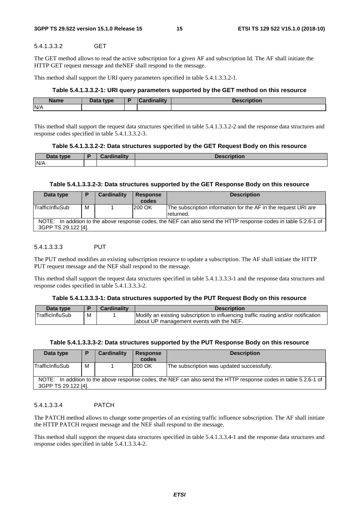#### 5.4.1.3.3.2 GET

The GET method allows to read the active subscription for a given AF and subscription Id. The AF shall initiate the HTTP GET request message and theNEF shall respond to the message.

This method shall support the URI query parameters specified in table 5.4.1.3.3.2-1.

#### **Table 5.4.1.3.3.2-1: URI query parameters supported by the GET method on this resource**

| <b>Name</b> | <b>Dota</b><br>type<br><b>Data</b> | в | <b>MELL</b> | --- |
|-------------|------------------------------------|---|-------------|-----|
| N/A         |                                    |   |             |     |

This method shall support the request data structures specified in table 5.4.1.3.3.2-2 and the response data structures and response codes specified in table 5.4.1.3.3.2-3.

#### **Table 5.4.1.3.3.2-2: Data structures supported by the GET Request Body on this resource**

| Data type<br>Duw | <b>Exclination</b><br>andlite – | <b>The Company of the Company</b><br>.<br>Description |
|------------------|---------------------------------|-------------------------------------------------------|
| N/A              |                                 |                                                       |

#### **Table 5.4.1.3.3.2-3: Data structures supported by the GET Response Body on this resource**

| Data type                                                                                                                               | Е | Cardinality | <b>Response</b><br>codes | <b>Description</b>                                                          |
|-----------------------------------------------------------------------------------------------------------------------------------------|---|-------------|--------------------------|-----------------------------------------------------------------------------|
| <b>TrafficInfluSub</b>                                                                                                                  | м |             | 200 OK                   | The subscription information for the AF in the request URI are<br>returned. |
| NOTE: In addition to the above response codes, the NEF can also send the HTTP response codes in table 5.2.6-1 of<br>3GPP TS 29.122 [4]. |   |             |                          |                                                                             |

#### 5.4.1.3.3.3 PUT

The PUT method modifies an existing subscription resource to update a subscription. The AF shall initiate the HTTP PUT request message and the NEF shall respond to the message.

This method shall support the request data structures specified in table 5.4.1.3.3.3-1 and the response data structures and response codes specified in table 5.4.1.3.3.3-2.

#### **Table 5.4.1.3.3.3-1: Data structures supported by the PUT Request Body on this resource**

| Data type              |   | <b>Cardinality</b> | <b>Description</b>                                                                 |
|------------------------|---|--------------------|------------------------------------------------------------------------------------|
| <b>TrafficInfluSub</b> | M |                    | Modify an existing subscription to influencing traffic routing and/or notification |
|                        |   |                    | about UP management events with the NEF.                                           |

#### **Table 5.4.1.3.3.3-2: Data structures supported by the PUT Response Body on this resource**

| Data type                                                                                                                               |   | Cardinality | <b>Response</b> | <b>Description</b>                         |
|-----------------------------------------------------------------------------------------------------------------------------------------|---|-------------|-----------------|--------------------------------------------|
|                                                                                                                                         |   |             | codes           |                                            |
| <b>TrafficInfluSub</b>                                                                                                                  | м |             | 200 OK          | The subscription was updated successfully. |
| NOTE: In addition to the above response codes, the NEF can also send the HTTP response codes in table 5.2.6-1 of<br>3GPP TS 29.122 [4]. |   |             |                 |                                            |

#### 5.4.1.3.3.4 PATCH

The PATCH method allows to change some properties of an existing traffic influence subscription. The AF shall initiate the HTTP PATCH request message and the NEF shall respond to the message.

This method shall support the request data structures specified in table 5.4.1.3.3.4-1 and the response data structures and response codes specified in table 5.4.1.3.3.4-2.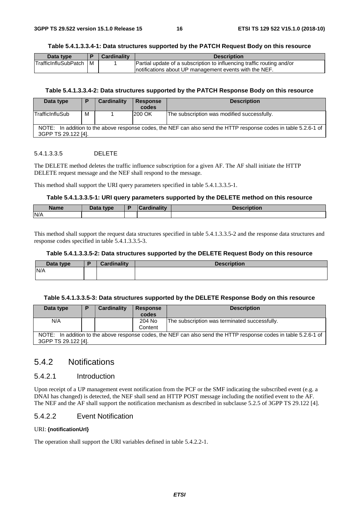#### **Table 5.4.1.3.3.4-1: Data structures supported by the PATCH Request Body on this resource**

| Data type                   |     | <b>Cardinality</b> | <b>Description</b>                                                     |
|-----------------------------|-----|--------------------|------------------------------------------------------------------------|
| <b>TrafficInfluSubPatch</b> | l M |                    | Partial update of a subscription to influencing traffic routing and/or |
|                             |     |                    | Inotifications about UP management events with the NEF.                |

#### **Table 5.4.1.3.3.4-2: Data structures supported by the PATCH Response Body on this resource**

| Data type                                                                                                                               |   | Cardinality | <b>Response</b><br>codes | <b>Description</b>                          |  |
|-----------------------------------------------------------------------------------------------------------------------------------------|---|-------------|--------------------------|---------------------------------------------|--|
| <b>TrafficInfluSub</b>                                                                                                                  | М |             | <b>200 OK</b>            | The subscription was modified successfully. |  |
| NOTE: In addition to the above response codes, the NEF can also send the HTTP response codes in table 5.2.6-1 of<br>3GPP TS 29.122 [4]. |   |             |                          |                                             |  |

#### 5.4.1.3.3.5 DELETE

The DELETE method deletes the traffic influence subscription for a given AF. The AF shall initiate the HTTP DELETE request message and the NEF shall respond to the message.

This method shall support the URI query parameters specified in table 5.4.1.3.3.5-1.

#### **Table 5.4.1.3.3.5-1: URI query parameters supported by the DELETE method on this resource**

| <b>Name</b> | <b>Pata type</b><br>Dala | <b>The address</b><br>.711 | <b>1.</b><br><b>Description</b> |
|-------------|--------------------------|----------------------------|---------------------------------|
| N/A         |                          |                            |                                 |

This method shall support the request data structures specified in table 5.4.1.3.3.5-2 and the response data structures and response codes specified in table 5.4.1.3.3.5-3.

#### **Table 5.4.1.3.3.5-2: Data structures supported by the DELETE Request Body on this resource**

| Data type | <b>Cardinality</b> | <b>Description</b> |
|-----------|--------------------|--------------------|
| N/A       |                    |                    |
|           |                    |                    |

#### **Table 5.4.1.3.3.5-3: Data structures supported by the DELETE Response Body on this resource**

| Data type           | Е | Cardinality | <b>Response</b> | <b>Description</b>                                                                                               |
|---------------------|---|-------------|-----------------|------------------------------------------------------------------------------------------------------------------|
|                     |   |             | codes           |                                                                                                                  |
| N/A                 |   |             | 204 No          | The subscription was terminated successfully.                                                                    |
|                     |   |             | Content         |                                                                                                                  |
|                     |   |             |                 | NOTE: In addition to the above response codes, the NEF can also send the HTTP response codes in table 5.2.6-1 of |
| 3GPP TS 29.122 [4]. |   |             |                 |                                                                                                                  |

### 5.4.2 Notifications

#### 5.4.2.1 Introduction

Upon receipt of a UP management event notification from the PCF or the SMF indicating the subscribed event (e.g. a DNAI has changed) is detected, the NEF shall send an HTTP POST message including the notified event to the AF. The NEF and the AF shall support the notification mechanism as described in subclause 5.2.5 of 3GPP TS 29.122 [4].

#### 5.4.2.2 Event Notification

#### URI: **{notificationUrI}**

The operation shall support the URI variables defined in table 5.4.2.2-1.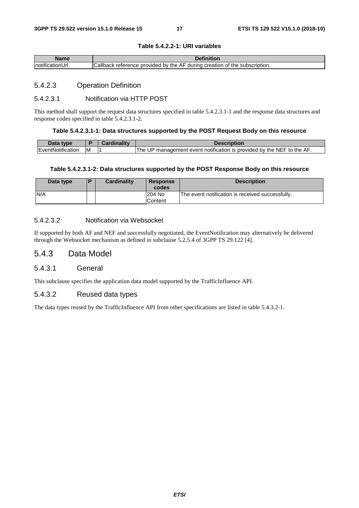| Name             | Definition                                                                 |
|------------------|----------------------------------------------------------------------------|
| InotificationUrl | Callback reference provided by the AF during creation of the subscription. |

**Table 5.4.2.2-1: URI variables** 

#### 5.4.2.3 Operation Definition

#### 5.4.2.3.1 Notification via HTTP POST

This method shall support the request data structures specified in table 5.4.2.3.1-1 and the response data structures and response codes specified in table 5.4.2.3.1-2.

#### **Table 5.4.2.3.1-1: Data structures supported by the POST Request Body on this resource**

| Data type                 |    | Cardinality | <b>Description</b>                                                          |
|---------------------------|----|-------------|-----------------------------------------------------------------------------|
| <b>IEventNotification</b> | ΙM |             | . UP management event notification is provided by the NEF to the AF.<br>The |

#### **Table 5.4.2.3.1-2: Data structures supported by the POST Response Body on this resource**

| Data type | l P | <b>Cardinality</b> | <b>Response</b><br>codes | <b>Description</b>                               |
|-----------|-----|--------------------|--------------------------|--------------------------------------------------|
| N/A       |     |                    | 204 No<br>Content        | The event notification is received successfully. |

#### 5.4.2.3.2 Notification via Websocket

If supported by both AF and NEF and successfully negotiated, the EventNotification may alternatively be delivered through the Websocket mechanism as defined in subclause 5.2.5.4 of 3GPP TS 29.122 [4].

#### 5.4.3 Data Model

#### 5.4.3.1 General

This subclause specifies the application data model supported by the TrafficInfluence API.

#### 5.4.3.2 Reused data types

The data types reused by the TrafficInfluence API from other specifications are listed in table 5.4.3.2-1.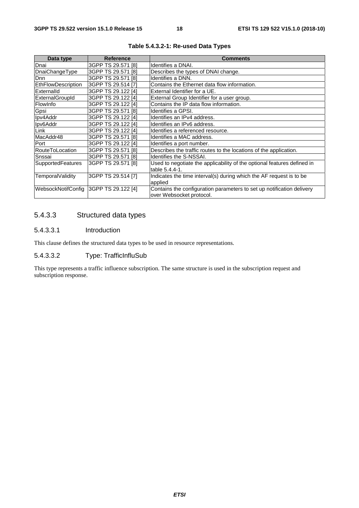| Data type                | <b>Reference</b>          | <b>Comments</b>                                                         |
|--------------------------|---------------------------|-------------------------------------------------------------------------|
| Dnai                     | 3GPP TS 29.571 [8]        | Identifies a DNAI.                                                      |
| DnaiChangeType           | 3GPP TS 29.571 [8]        | Describes the types of DNAI change.                                     |
| <b>Dnn</b>               | 3GPP TS 29.571 [8]        | Identifies a DNN.                                                       |
| EthFlowDescription       | 3GPP TS 29.514 [7]        | Contains the Ethernet data flow information.                            |
| Externalld               | 3GPP TS 29.122 [4]        | External Identifier for a UE.                                           |
| ExternalGroupId          | 3GPP TS 29.122 [4]        | External Group Identifier for a user group.                             |
| FlowInfo                 | 3GPP TS 29.122 [4]        | Contains the IP data flow information.                                  |
| Gpsi                     | 3GPP TS 29.571 [8]        | Identifies a GPSI.                                                      |
| Ipv4Addr                 | 3GPP TS 29.122 [4]        | Identifies an IPv4 address.                                             |
| Ipv6Addr                 | 3GPP TS 29.122 [4]        | Identifies an IPv6 address.                                             |
| Link                     | 3GPP TS 29.122 [4]        | Identifies a referenced resource.                                       |
| MacAddr48                | 3GPP TS 29.571 [8]        | Identifies a MAC address.                                               |
| Port                     | 3GPP TS 29.122 [4]        | Identifies a port number.                                               |
| RouteToLocation          | 3GPP TS 29.571 [8]        | Describes the traffic routes to the locations of the application.       |
| Snssai                   | 3GPP TS 29.571 [8]        | Identifies the S-NSSAI.                                                 |
| <b>SupportedFeatures</b> | 3GPP TS 29.571 [8]        | Used to negotiate the applicability of the optional features defined in |
|                          |                           | table 5.4.4-1.                                                          |
| <b>TemporalValidity</b>  | 3GPP TS 29.514 [7]        | Indicates the time interval(s) during which the AF request is to be     |
|                          |                           | applied                                                                 |
| WebsockNotifConfig       | <b>3GPP TS 29.122 [4]</b> | Contains the configuration parameters to set up notification delivery   |
|                          |                           | over Websocket protocol.                                                |

**Table 5.4.3.2-1: Re-used Data Types** 

### 5.4.3.3 Structured data types

#### 5.4.3.3.1 Introduction

This clause defines the structured data types to be used in resource representations.

#### 5.4.3.3.2 Type: TrafficInfluSub

This type represents a traffic influence subscription. The same structure is used in the subscription request and subscription response.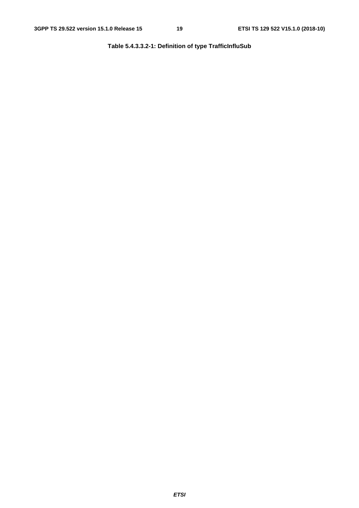**Table 5.4.3.3.2-1: Definition of type TrafficInfluSub**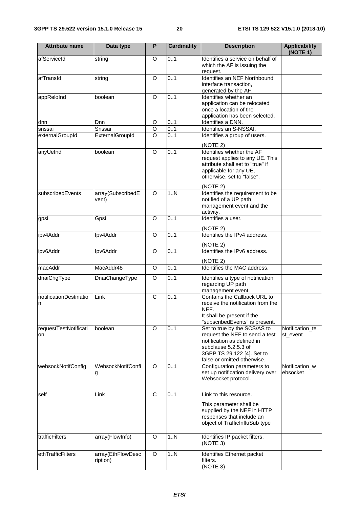| <b>Attribute name</b>       | Data type                     | P              | <b>Cardinality</b> | <b>Description</b>                                                                                                                                                                | <b>Applicability</b><br>(NOTE 1) |
|-----------------------------|-------------------------------|----------------|--------------------|-----------------------------------------------------------------------------------------------------------------------------------------------------------------------------------|----------------------------------|
| afServiceId                 | string                        | O              | 0.1                | Identifies a service on behalf of<br>which the AF is issuing the<br>request.                                                                                                      |                                  |
| afTransId                   | string                        | O              | 0.1                | Identifies an NEF Northbound<br>interface transaction,<br>generated by the AF.                                                                                                    |                                  |
| appReloInd                  | boolean                       | $\Omega$       | 0.1                | Identifies whether an<br>application can be relocated<br>once a location of the<br>application has been selected.                                                                 |                                  |
| dnn                         | Dnn                           | $\circ$        | 0.1                | Identifies a DNN.                                                                                                                                                                 |                                  |
| snssai                      | Snssai                        | O              | 0.1                | Identifies an S-NSSAI.                                                                                                                                                            |                                  |
| externalGroupId             | ExternalGroupId               | $\Omega$       | 0.1                | Identifies a group of users.                                                                                                                                                      |                                  |
|                             |                               |                |                    | (NOTE 2)                                                                                                                                                                          |                                  |
| anyUeInd                    | boolean                       | O              | 0.1                | Identifies whether the AF<br>request applies to any UE. This<br>attribute shall set to "true" if<br>applicable for any UE,<br>otherwise, set to "false".                          |                                  |
| subscribedEvents            | array(SubscribedE<br>vent)    | $\circ$        | 1N                 | (NOTE 2)<br>Identifies the requirement to be<br>notified of a UP path<br>management event and the<br>activity.                                                                    |                                  |
| gpsi                        | Gpsi                          | $\circ$        | 0.1                | Identifies a user.                                                                                                                                                                |                                  |
|                             |                               |                |                    | (NOTE 2)                                                                                                                                                                          |                                  |
| ipv4Addr                    | Ipv4Addr                      | $\Omega$       | 0.1                | Identifies the IPv4 address.<br>(NOTE 2)                                                                                                                                          |                                  |
| ipv6Addr                    | Ipv6Addr                      | O              | 0.1                | Identifies the IPv6 address.<br>(NOTE 2)                                                                                                                                          |                                  |
| macAddr                     | MacAddr48                     | O              | 0.1                | Identifies the MAC address.                                                                                                                                                       |                                  |
| dnaiChgType                 | DnaiChangeType                | $\overline{O}$ | 0.1                | Identifies a type of notification<br>regarding UP path<br>management event.                                                                                                       |                                  |
| notificationDestinatio<br>n | Link                          | $\overline{C}$ | 0.1                | Contains the Callback URL to<br>receive the notification from the<br>NEF.<br>It shall be present if the<br>'subscribedEvents" is present.                                         |                                  |
| requestTestNotificati<br>on | boolean                       | $\circ$        | 0.1                | Set to true by the SCS/AS to<br>request the NEF to send a test<br>notification as defined in<br>subclause 5.2.5.3 of<br>3GPP TS 29.122 [4]. Set to<br>false or omitted otherwise. | Notification_te<br>st_event      |
| websockNotifConfig          | WebsockNotifConfi<br>g        | $\Omega$       | 0.1                | Configuration parameters to<br>set up notification delivery over<br>Websocket protocol.                                                                                           | Notification_w<br>ebsocket       |
| self                        | Link                          | $\overline{C}$ | 0.1                | Link to this resource.<br>This parameter shall be<br>supplied by the NEF in HTTP<br>responses that include an<br>object of TrafficInfluSub type                                   |                                  |
| trafficFilters              | array(FlowInfo)               | O              | $\overline{1}$ N   | Identifies IP packet filters.<br>(NOTE 3)                                                                                                                                         |                                  |
| ethTrafficFilters           | array(EthFlowDesc<br>ription) | O              | 1N                 | Identifies Ethernet packet<br>filters.<br>(NOTE 3)                                                                                                                                |                                  |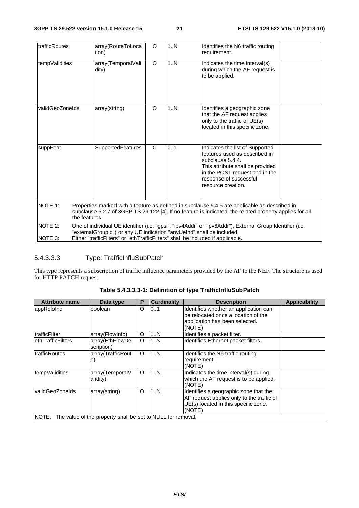| <b>ItrafficRoutes</b>     | array(RouteToLoca<br>tion)                                                                                                                                                                                                                                           | O       | 1N  | Identifies the N6 traffic routing<br>requirement.                                                                                                                                                          |  |  |
|---------------------------|----------------------------------------------------------------------------------------------------------------------------------------------------------------------------------------------------------------------------------------------------------------------|---------|-----|------------------------------------------------------------------------------------------------------------------------------------------------------------------------------------------------------------|--|--|
| tempValidities            | array(TemporalVali<br>dity)                                                                                                                                                                                                                                          | $\circ$ | 1N  | Indicates the time interval(s)<br>during which the AF request is<br>to be applied.                                                                                                                         |  |  |
| validGeoZoneIds           | array(string)                                                                                                                                                                                                                                                        | O       | 1N  | Identifies a geographic zone<br>that the AF request applies<br>only to the traffic of UE(s)<br>located in this specific zone.                                                                              |  |  |
| suppFeat                  | SupportedFeatures                                                                                                                                                                                                                                                    | C       | 0.1 | Indicates the list of Supported<br>features used as described in<br>subclause 5.4.4.<br>This attribute shall be provided<br>in the POST request and in the<br>response of successful<br>resource creation. |  |  |
| NOTE 1:                   | the features.                                                                                                                                                                                                                                                        |         |     | Properties marked with a feature as defined in subclause 5.4.5 are applicable as described in<br>subclause 5.2.7 of 3GPP TS 29.122 [4]. If no feature is indicated, the related property applies for all   |  |  |
| <b>NOTE 2:</b><br>NOTE 3: | One of individual UE identifier (i.e. "gpsi", "ipv4Addr" or "ipv6Addr"), External Group Identifier (i.e.<br>"externalGroupId") or any UE indication "anyUeInd" shall be included.<br>Either "trafficFilters" or "ethTrafficFilters" shall be included if applicable. |         |     |                                                                                                                                                                                                            |  |  |

### 5.4.3.3.3 Type: TrafficInfluSubPatch

This type represents a subscription of traffic influence parameters provided by the AF to the NEF. The structure is used for HTTP PATCH request.

| <b>Attribute name</b> | Data type                                                  | P       | <b>Cardinality</b> | <b>Description</b>                                                                                                                   | <b>Applicability</b> |
|-----------------------|------------------------------------------------------------|---------|--------------------|--------------------------------------------------------------------------------------------------------------------------------------|----------------------|
| appReloInd            | boolean                                                    | O       | 0.1                | Identifies whether an application can<br>be relocated once a location of the<br>application has been selected.<br>(NOTE)             |                      |
| ItrafficFilter        | array(FlowInfo)                                            | O       | 1N                 | Identifies a packet filter.                                                                                                          |                      |
| lethTrafficFilters    | array(EthFlowDe<br>scription)                              | $\circ$ | 1N                 | Identifies Ethernet packet filters.                                                                                                  |                      |
| trafficRoutes         | array(TrafficRout<br>le)                                   | $\circ$ | 1N                 | Identifies the N6 traffic routing<br>requirement.<br>(NOTE)                                                                          |                      |
| tempValidities        | array(TemporalV<br>alidity)                                | $\circ$ | 1N                 | Indicates the time interval(s) during<br>which the AF request is to be applied.<br>(NOTE)                                            |                      |
| validGeoZoneIds       | array(string)                                              | O       | 1N                 | Identifies a geographic zone that the<br>AF request applies only to the traffic of<br>UE(s) located in this specific zone.<br>(NOTE) |                      |
| NOTE:                 | The value of the property shall be set to NULL for removal |         |                    |                                                                                                                                      |                      |

**Table 5.4.3.3.3-1: Definition of type TrafficInfluSubPatch** 

**NOTE:** The value of the property shall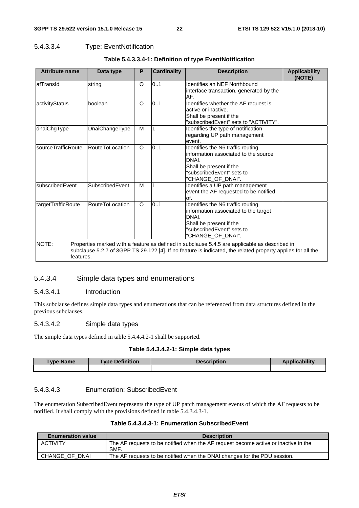#### 5.4.3.3.4 Type: EventNotification

| <b>Attribute name</b> | Data type              | Р        | <b>Cardinality</b> | <b>Description</b>                                                                                                                                                                                           | <b>Applicability</b><br>(NOTE) |
|-----------------------|------------------------|----------|--------------------|--------------------------------------------------------------------------------------------------------------------------------------------------------------------------------------------------------------|--------------------------------|
| lafTransId            | string                 | O        | 0.1                | Identifies an NEF Northbound<br>interface transaction, generated by the<br>AF.                                                                                                                               |                                |
| activityStatus        | boolean                | O        | 0.1                | Identifies whether the AF request is<br>active or inactive.<br>Shall be present if the<br>"subscribedEvent" sets to "ACTIVITY".                                                                              |                                |
| dnaiChgType           | DnaiChangeType         | м        |                    | Identifies the type of notification<br>regarding UP path management<br>event.                                                                                                                                |                                |
| sourceTrafficRoute    | RouteToLocation        | O        | 0.1                | Identifies the N6 traffic routing<br>information associated to the source<br>DNAI.<br>Shall be present if the<br>"subscribedEvent" sets to<br>"CHANGE_OF_DNAI".                                              |                                |
| subscribedEvent       | SubscribedEvent        | M        |                    | Identifies a UP path management<br>event the AF requested to be notified<br>of.                                                                                                                              |                                |
| targetTrafficRoute    | <b>RouteToLocation</b> | $\Omega$ | 0.1                | Identifies the N6 traffic routing<br>information associated to the target<br>DNAI.<br>Shall be present if the<br>"subscribedEvent" sets to<br>"CHANGE_OF_DNAI".                                              |                                |
| NOTE:<br>features.    |                        |          |                    | Properties marked with a feature as defined in subclause 5.4.5 are applicable as described in<br>subclause 5.2.7 of 3GPP TS 29.122 [4]. If no feature is indicated, the related property applies for all the |                                |

#### **Table 5.4.3.3.4-1: Definition of type EventNotification**

#### 5.4.3.4 Simple data types and enumerations

#### 5.4.3.4.1 Introduction

This subclause defines simple data types and enumerations that can be referenced from data structures defined in the previous subclauses.

#### 5.4.3.4.2 Simple data types

The simple data types defined in table 5.4.4.4.2-1 shall be supported.

#### **Table 5.4.3.4.2-1: Simple data types**

| ⊺ype Name | <b>Type Definition</b> | Description | ahilit |
|-----------|------------------------|-------------|--------|
|           |                        |             |        |
|           |                        |             |        |

#### 5.4.3.4.3 Enumeration: SubscribedEvent

The enumeration SubscribedEvent represents the type of UP patch management events of which the AF requests to be notified. It shall comply with the provisions defined in table 5.4.3.4.3-1.

#### **Table 5.4.3.4.3-1: Enumeration SubscribedEvent**

| <b>Enumeration value</b> | <b>Description</b>                                                                                |
|--------------------------|---------------------------------------------------------------------------------------------------|
| <b>ACTIVITY</b>          | The AF requests to be notified when the AF request become active or inactive in the<br><b>SMF</b> |
| CHANGE OF DNAI           | The AF requests to be notified when the DNAI changes for the PDU session.                         |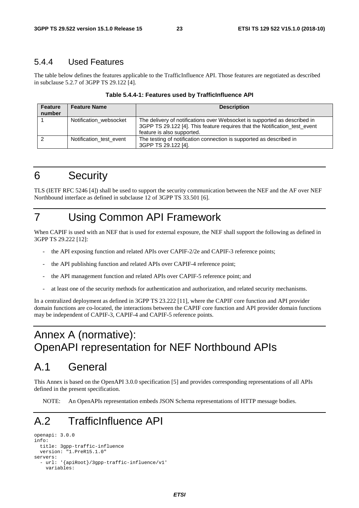### 5.4.4 Used Features

The table below defines the features applicable to the TrafficInfluence API. Those features are negotiated as described in subclause 5.2.7 of 3GPP TS 29.122 [4].

| <b>Feature</b><br>number | <b>Feature Name</b>     | <b>Description</b>                                                                                                                                                                    |
|--------------------------|-------------------------|---------------------------------------------------------------------------------------------------------------------------------------------------------------------------------------|
|                          | Notification websocket  | The delivery of notifications over Websocket is supported as described in<br>3GPP TS 29.122 [4]. This feature requires that the Notification test event<br>feature is also supported. |
|                          | Notification test event | The testing of notification connection is supported as described in<br>3GPP TS 29.122 [4].                                                                                            |

| Table 5.4.4-1: Features used by TrafficInfluence API |  |
|------------------------------------------------------|--|
|------------------------------------------------------|--|

# 6 Security

TLS (IETF RFC 5246 [4]) shall be used to support the security communication between the NEF and the AF over NEF Northbound interface as defined in subclause 12 of 3GPP TS 33.501 [6].

# 7 Using Common API Framework

When CAPIF is used with an NEF that is used for external exposure, the NEF shall support the following as defined in 3GPP TS 29.222 [12]:

- the API exposing function and related APIs over CAPIF-2/2e and CAPIF-3 reference points;
- the API publishing function and related APIs over CAPIF-4 reference point;
- the API management function and related APIs over CAPIF-5 reference point; and
- at least one of the security methods for authentication and authorization, and related security mechanisms.

In a centralized deployment as defined in 3GPP TS 23.222 [11], where the CAPIF core function and API provider domain functions are co-located, the interactions between the CAPIF core function and API provider domain functions may be independent of CAPIF-3, CAPIF-4 and CAPIF-5 reference points.

# Annex A (normative): OpenAPI representation for NEF Northbound APIs

# A.1 General

This Annex is based on the OpenAPI 3.0.0 specification [5] and provides corresponding representations of all APIs defined in the present specification.

NOTE: An OpenAPIs representation embeds JSON Schema representations of HTTP message bodies.

# A.2 TrafficInfluence API

```
openapi: 3.0.0 
info: 
   title: 3gpp-traffic-influence 
   version: "1.PreR15.1.0" 
servers: 
   - url: '{apiRoot}/3gpp-traffic-influence/v1' 
     variables:
```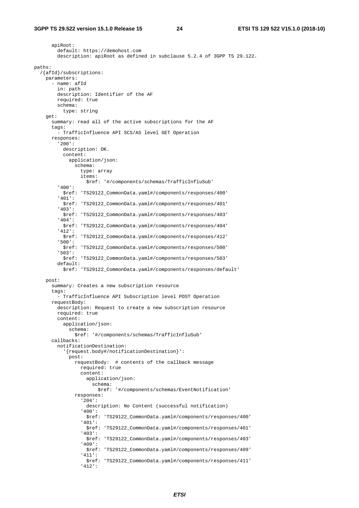apiRoot: default: https://demohost.com description: apiRoot as defined in subclause 5.2.4 of 3GPP TS 29.122. paths: /{afId}/subscriptions: parameters: - name: afId in: path description: Identifier of the AF required: true schema: type: string get: summary: read all of the active subscriptions for the AF tags: - TrafficInfluence API SCS/AS level GET Operation responses: '200': description: OK. content: application/json: schema: type: array items: \$ref: '#/components/schemas/TrafficInfluSub' '400': \$ref: 'TS29122\_CommonData.yaml#/components/responses/400' '401': \$ref: 'TS29122\_CommonData.yaml#/components/responses/401' '403': \$ref: 'TS29122\_CommonData.yaml#/components/responses/403' '404': \$ref: 'TS29122\_CommonData.yaml#/components/responses/404' '412': \$ref: 'TS29122\_CommonData.yaml#/components/responses/412' '500': \$ref: 'TS29122\_CommonData.yaml#/components/responses/500' '503': \$ref: 'TS29122\_CommonData.yaml#/components/responses/503' default: \$ref: 'TS29122\_CommonData.yaml#/components/responses/default' post: summary: Creates a new subscription resource tags: - TrafficInfluence API Subscription level POST Operation requestBody: description: Request to create a new subscription resource required: true content: application/json: schema: \$ref: '#/components/schemas/TrafficInfluSub' callbacks: notificationDestination: '{request.body#/notificationDestination}': post: requestBody: # contents of the callback message required: true content: application/json: schema: \$ref: '#/components/schemas/EventNotification' responses: '204': description: No Content (successful notification) '400': \$ref: 'TS29122\_CommonData.yaml#/components/responses/400' '401': \$ref: 'TS29122\_CommonData.yaml#/components/responses/401' '403': \$ref: 'TS29122\_CommonData.yaml#/components/responses/403' '409': \$ref: 'TS29122\_CommonData.yaml#/components/responses/409' '411': \$ref: 'TS29122\_CommonData.yaml#/components/responses/411' '412':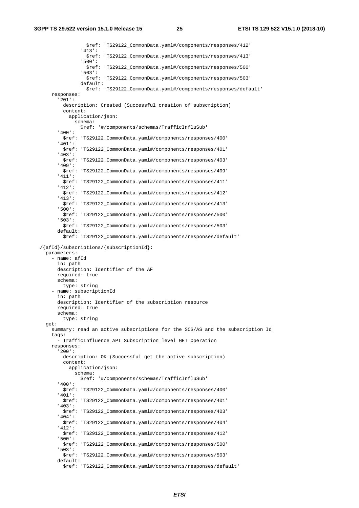\$ref: 'TS29122\_CommonData.yaml#/components/responses/412' '413': \$ref: 'TS29122\_CommonData.yaml#/components/responses/413' '500': \$ref: 'TS29122\_CommonData.yaml#/components/responses/500' '503': \$ref: 'TS29122\_CommonData.yaml#/components/responses/503' default: \$ref: 'TS29122\_CommonData.yaml#/components/responses/default' responses: '201': description: Created (Successful creation of subscription) content: application/json: schema: \$ref: '#/components/schemas/TrafficInfluSub' '400': \$ref: 'TS29122\_CommonData.yaml#/components/responses/400' '401': \$ref: 'TS29122\_CommonData.yaml#/components/responses/401' '403': \$ref: 'TS29122\_CommonData.yaml#/components/responses/403' '409': \$ref: 'TS29122\_CommonData.yaml#/components/responses/409' '411': \$ref: 'TS29122\_CommonData.yaml#/components/responses/411' '412': \$ref: 'TS29122\_CommonData.yaml#/components/responses/412' '413': \$ref: 'TS29122\_CommonData.yaml#/components/responses/413' '500': \$ref: 'TS29122\_CommonData.yaml#/components/responses/500' '503': \$ref: 'TS29122\_CommonData.yaml#/components/responses/503' default: \$ref: 'TS29122\_CommonData.yaml#/components/responses/default' /{afId}/subscriptions/{subscriptionId}: parameters: - name: afId in: path description: Identifier of the AF required: true schema: type: string - name: subscriptionId in: path description: Identifier of the subscription resource required: true schema: type: string get: summary: read an active subscriptions for the SCS/AS and the subscription Id tags: - TrafficInfluence API Subscription level GET Operation responses: '200': description: OK (Successful get the active subscription) content: application/json: schema: \$ref: '#/components/schemas/TrafficInfluSub' '400': \$ref: 'TS29122\_CommonData.yaml#/components/responses/400' '401': \$ref: 'TS29122\_CommonData.yaml#/components/responses/401' '403': \$ref: 'TS29122\_CommonData.yaml#/components/responses/403' '404': \$ref: 'TS29122\_CommonData.yaml#/components/responses/404' '412': \$ref: 'TS29122\_CommonData.yaml#/components/responses/412' '500': \$ref: 'TS29122\_CommonData.yaml#/components/responses/500' '503': \$ref: 'TS29122\_CommonData.yaml#/components/responses/503' default: \$ref: 'TS29122\_CommonData.yaml#/components/responses/default'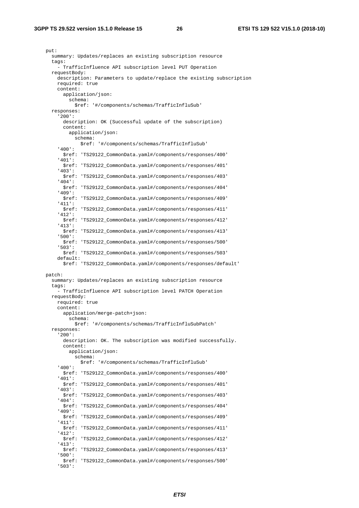put: summary: Updates/replaces an existing subscription resource tags: - TrafficInfluence API subscription level PUT Operation requestBody: description: Parameters to update/replace the existing subscription required: true content: application/json: schema: \$ref: '#/components/schemas/TrafficInfluSub' responses: '200': description: OK (Successful update of the subscription) content: application/json: schema: \$ref: '#/components/schemas/TrafficInfluSub' '400': \$ref: 'TS29122\_CommonData.yaml#/components/responses/400' '401': \$ref: 'TS29122\_CommonData.yaml#/components/responses/401' '403': \$ref: 'TS29122\_CommonData.yaml#/components/responses/403' '404': \$ref: 'TS29122\_CommonData.yaml#/components/responses/404' '409': \$ref: 'TS29122\_CommonData.yaml#/components/responses/409' '411': \$ref: 'TS29122\_CommonData.yaml#/components/responses/411' '412': \$ref: 'TS29122\_CommonData.yaml#/components/responses/412' '413': \$ref: 'TS29122\_CommonData.yaml#/components/responses/413' '500': \$ref: 'TS29122\_CommonData.yaml#/components/responses/500' '503': \$ref: 'TS29122\_CommonData.yaml#/components/responses/503' default: \$ref: 'TS29122\_CommonData.yaml#/components/responses/default' patch: summary: Updates/replaces an existing subscription resource tags: - TrafficInfluence API subscription level PATCH Operation requestBody: required: true content: application/merge-patch+json: schema: \$ref: '#/components/schemas/TrafficInfluSubPatch' responses: '200': description: OK. The subscription was modified successfully. content: application/json: schema: \$ref: '#/components/schemas/TrafficInfluSub' '400': \$ref: 'TS29122\_CommonData.yaml#/components/responses/400' '401': \$ref: 'TS29122\_CommonData.yaml#/components/responses/401' '403': \$ref: 'TS29122\_CommonData.yaml#/components/responses/403' '404': \$ref: 'TS29122\_CommonData.yaml#/components/responses/404' '409': \$ref: 'TS29122\_CommonData.yaml#/components/responses/409' '411': \$ref: 'TS29122\_CommonData.yaml#/components/responses/411' '412': \$ref: 'TS29122\_CommonData.yaml#/components/responses/412' '413': \$ref: 'TS29122\_CommonData.yaml#/components/responses/413' '500': \$ref: 'TS29122\_CommonData.yaml#/components/responses/500' '503':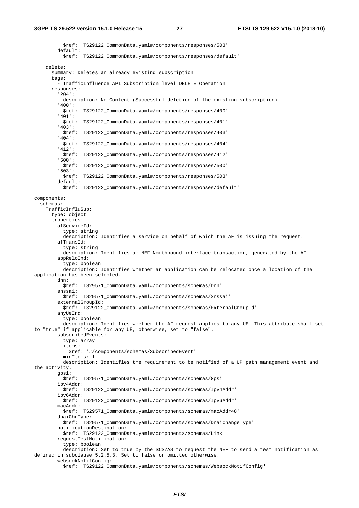\$ref: 'TS29122\_CommonData.yaml#/components/responses/503' default: \$ref: 'TS29122\_CommonData.yaml#/components/responses/default' delete: summary: Deletes an already existing subscription tags: - TrafficInfluence API Subscription level DELETE Operation responses: '204': description: No Content (Successful deletion of the existing subscription) '400': \$ref: 'TS29122\_CommonData.yaml#/components/responses/400' '401': \$ref: 'TS29122\_CommonData.yaml#/components/responses/401' '403': \$ref: 'TS29122\_CommonData.yaml#/components/responses/403' '404': \$ref: 'TS29122\_CommonData.yaml#/components/responses/404' '412': \$ref: 'TS29122\_CommonData.yaml#/components/responses/412' '500': \$ref: 'TS29122\_CommonData.yaml#/components/responses/500' '503': \$ref: 'TS29122\_CommonData.yaml#/components/responses/503' default: \$ref: 'TS29122\_CommonData.yaml#/components/responses/default' components: schemas: TrafficInfluSub: type: object properties: afServiceId: type: string description: Identifies a service on behalf of which the AF is issuing the request. afTransId: type: string description: Identifies an NEF Northbound interface transaction, generated by the AF. appReloInd: type: boolean description: Identifies whether an application can be relocated once a location of the application has been selected. dnn: \$ref: 'TS29571\_CommonData.yaml#/components/schemas/Dnn' snssai: \$ref: 'TS29571\_CommonData.yaml#/components/schemas/Snssai' externalGroupId: \$ref: 'TS29122\_CommonData.yaml#/components/schemas/ExternalGroupId' anyUeInd: type: boolean description: Identifies whether the AF request applies to any UE. This attribute shall set to "true" if applicable for any UE, otherwise, set to "false". subscribedEvents: type: array items: \$ref: '#/components/schemas/SubscribedEvent' minItems: 1 description: Identifies the requirement to be notified of a UP path management event and the activity. gpsi: \$ref: 'TS29571\_CommonData.yaml#/components/schemas/Gpsi' ipv4Addr: \$ref: 'TS29122\_CommonData.yaml#/components/schemas/Ipv4Addr' ipv6Addr: \$ref: 'TS29122\_CommonData.yaml#/components/schemas/Ipv6Addr' macAddr: \$ref: 'TS29571\_CommonData.yaml#/components/schemas/macAddr48' dnaiChgType: \$ref: 'TS29571\_CommonData.yaml#/components/schemas/DnaiChangeType' notificationDestination: \$ref: 'TS29122\_CommonData.yaml#/components/schemas/Link' requestTestNotification: type: boolean description: Set to true by the SCS/AS to request the NEF to send a test notification as defined in subclause 5.2.5.3. Set to false or omitted otherwise. websockNotifConfig: \$ref: 'TS29122\_CommonData.yaml#/components/schemas/WebsockNotifConfig'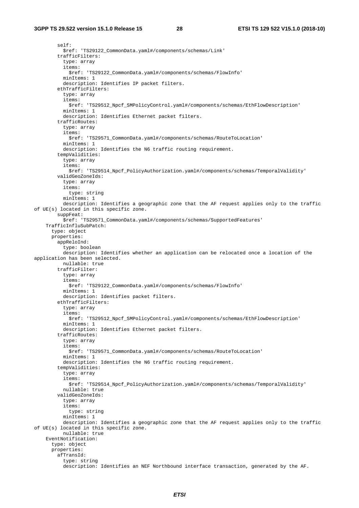self: \$ref: 'TS29122\_CommonData.yaml#/components/schemas/Link' trafficFilters: type: array items: \$ref: 'TS29122\_CommonData.yaml#/components/schemas/FlowInfo' minItems: 1 description: Identifies IP packet filters. ethTrafficFilters: type: array items: \$ref: 'TS29512\_Npcf\_SMPolicyControl.yaml#/components/schemas/EthFlowDescription' minItems: 1 description: Identifies Ethernet packet filters. trafficRoutes: type: array items: \$ref: 'TS29571\_CommonData.yaml#/components/schemas/RouteToLocation' minItems: 1 description: Identifies the N6 traffic routing requirement. tempValidities: type: array items: \$ref: 'TS29514\_Npcf\_PolicyAuthorization.yaml#/components/schemas/TemporalValidity' validGeoZoneIds: type: array items: type: string minItems: 1 description: Identifies a geographic zone that the AF request applies only to the traffic of UE(s) located in this specific zone. suppFeat: \$ref: 'TS29571\_CommonData.yaml#/components/schemas/SupportedFeatures' TrafficInfluSubPatch: type: object properties: appReloInd: type: boolean description: Identifies whether an application can be relocated once a location of the application has been selected. nullable: true trafficFilter: type: array items: \$ref: 'TS29122\_CommonData.yaml#/components/schemas/FlowInfo' minItems: 1 description: Identifies packet filters. ethTrafficFilters: type: array items: \$ref: 'TS29512\_Npcf\_SMPolicyControl.yaml#/components/schemas/EthFlowDescription' minItems: 1 description: Identifies Ethernet packet filters. trafficRoutes: type: array items: \$ref: 'TS29571\_CommonData.yaml#/components/schemas/RouteToLocation' minItems: 1 description: Identifies the N6 traffic routing requirement. tempValidities: type: array items: \$ref: 'TS29514\_Npcf\_PolicyAuthorization.yaml#/components/schemas/TemporalValidity' nullable: true validGeoZoneIds: type: array items: type: string minItems: 1 description: Identifies a geographic zone that the AF request applies only to the traffic of UE(s) located in this specific zone. nullable: true EventNotification: type: object properties: afTransId: type: string description: Identifies an NEF Northbound interface transaction, generated by the AF.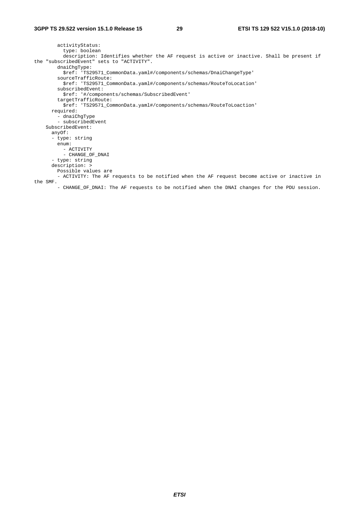```
 activityStatus: 
           type: boolean 
           description: Identifies whether the AF request is active or inactive. Shall be present if 
the "subscribedEvent" sets to "ACTIVITY". 
         dnaiChgType: 
          $ref: 'TS29571_CommonData.yaml#/components/schemas/DnaiChangeType' 
         sourceTrafficRoute: 
          $ref: 'TS29571_CommonData.yaml#/components/schemas/RouteToLocation' 
         subscribedEvent: 
           $ref: '#/components/schemas/SubscribedEvent' 
         targetTrafficRoute: 
           $ref: 'TS29571_CommonData.yaml#/components/schemas/RouteToLoaction' 
       required: 
         - dnaiChgType 
         - subscribedEvent 
     SubscribedEvent: 
       anyOf: 
       - type: string 
         enum: 
          - ACTIVITY 
           - CHANGE_OF_DNAI 
       - type: string 
       description: > 
         Possible values are 
         - ACTIVITY: The AF requests to be notified when the AF request become active or inactive in 
the SMF. 
         - CHANGE_OF_DNAI: The AF requests to be notified when the DNAI changes for the PDU session.
```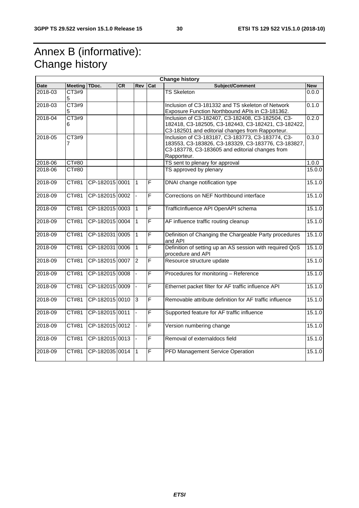# Annex B (informative): Change history

|             |                         |                |           |                |                         | <b>Change history</b>                                                                                                                                                      |            |
|-------------|-------------------------|----------------|-----------|----------------|-------------------------|----------------------------------------------------------------------------------------------------------------------------------------------------------------------------|------------|
| <b>Date</b> | <b>Meeting</b>          | TDoc.          | <b>CR</b> | <b>Rev</b>     | Cat                     | Subject/Comment                                                                                                                                                            | <b>New</b> |
| 2018-03     | CT3#9<br>5              |                |           |                |                         | <b>TS Skeleton</b>                                                                                                                                                         | 0.0.0      |
| 2018-03     | CT3#9<br>5              |                |           |                |                         | Inclusion of C3-181332 and TS skeleton of Network<br>Exposure Function Northbound APIs in C3-181362.                                                                       | 0.1.0      |
| 2018-04     | CT3#9<br>6              |                |           |                |                         | Inclusion of C3-182407, C3-182408, C3-182504, C3-<br>182418, C3-182505, C3-182443, C3-182421, C3-182422,<br>C3-182501 and editorial changes from Rapporteur.               | 0.2.0      |
| 2018-05     | CT3#9<br>$\overline{7}$ |                |           |                |                         | Inclusion of C3-183187, C3-183773, C3-183774, C3-<br>183553, C3-183826, C3-183329, C3-183776, C3-183827,<br>C3-183778, C3-183605 and editorial changes from<br>Rapporteur. | 0.3.0      |
| 2018-06     | CT#80                   |                |           |                |                         | TS sent to plenary for approval                                                                                                                                            | 1.0.0      |
| 2018-06     | <b>CT#80</b>            |                |           |                |                         | TS approved by plenary                                                                                                                                                     | 15.0.0     |
| 2018-09     | CT#81                   | CP-182015 0001 |           | $\mathbf{1}$   | $\overline{\mathsf{F}}$ | DNAI change notification type                                                                                                                                              | 15.1.0     |
| 2018-09     | CT#81                   | CP-182015 0002 |           |                | F                       | Corrections on NEF Northbound interface                                                                                                                                    | 15.1.0     |
| 2018-09     | CT#81                   | CP-182015 0003 |           | $\mathbf{1}$   | F                       | TrafficInfluence API OpenAPI schema                                                                                                                                        | 15.1.0     |
| 2018-09     | CT#81                   | CP-182015 0004 |           | $\mathbf{1}$   | F                       | AF influence traffic routing cleanup                                                                                                                                       | 15.1.0     |
| 2018-09     | CT#81                   | CP-182031 0005 |           | $\mathbf{1}$   | $\overline{\mathsf{F}}$ | Definition of Changing the Chargeable Party procedures<br>and API                                                                                                          | 15.1.0     |
| 2018-09     | CT#81                   | CP-182031 0006 |           | $\mathbf{1}$   | F                       | Definition of setting up an AS session with required QoS<br>procedure and API                                                                                              | 15.1.0     |
| 2018-09     | CT#81                   | CP-182015 0007 |           | $\overline{2}$ | F                       | Resource structure update                                                                                                                                                  | 15.1.0     |
| 2018-09     | CT#81                   | CP-182015 0008 |           |                | F                       | Procedures for monitoring - Reference                                                                                                                                      | 15.1.0     |
| 2018-09     | CT#81                   | CP-182015 0009 |           |                | F                       | Ethernet packet filter for AF traffic influence API                                                                                                                        | 15.1.0     |
| 2018-09     | CT#81                   | CP-182015 0010 |           | 3              | F                       | Removable attribute definition for AF traffic influence                                                                                                                    | 15.1.0     |
| 2018-09     | CT#81                   | CP-182015 0011 |           | $\mathbf{r}$   | F                       | Supported feature for AF traffic influence                                                                                                                                 | 15.1.0     |
| 2018-09     | CT#81                   | CP-182015 0012 |           |                | F                       | Version numbering change                                                                                                                                                   | 15.1.0     |
| 2018-09     | CT#81                   | CP-182015 0013 |           |                | F                       | Removal of externaldocs field                                                                                                                                              | 15.1.0     |
| 2018-09     | $\overline{CT#81}$      | CP-182035 0014 |           | $\mathbf{1}$   | F                       | PFD Management Service Operation                                                                                                                                           | 15.1.0     |